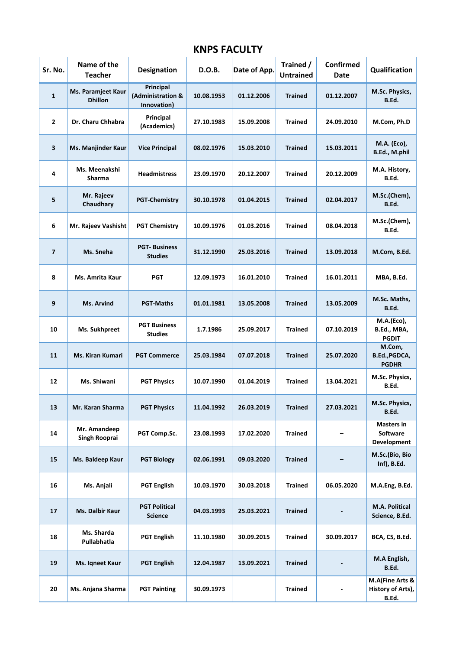## **KNPS FACULTY**

| Sr. No.                 | Name of the<br><b>Teacher</b>        | <b>Designation</b>                            | D.O.B.     | Date of App. | Trained /<br><b>Untrained</b> | Confirmed<br><b>Date</b> | Qualification                                 |
|-------------------------|--------------------------------------|-----------------------------------------------|------------|--------------|-------------------------------|--------------------------|-----------------------------------------------|
| $\mathbf{1}$            | Ms. Paramjeet Kaur<br><b>Dhillon</b> | Principal<br>(Administration &<br>Innovation) | 10.08.1953 | 01.12.2006   | <b>Trained</b>                | 01.12.2007               | M.Sc. Physics,<br>B.Ed.                       |
| $\overline{2}$          | Dr. Charu Chhabra                    | Principal<br>(Academics)                      | 27.10.1983 | 15.09.2008   | <b>Trained</b>                | 24.09.2010               | M.Com, Ph.D                                   |
| 3                       | Ms. Manjinder Kaur                   | <b>Vice Principal</b>                         | 08.02.1976 | 15.03.2010   | <b>Trained</b>                | 15.03.2011               | M.A. (Eco),<br>B.Ed., M.phil                  |
| 4                       | Ms. Meenakshi<br>Sharma              | <b>Headmistress</b>                           | 23.09.1970 | 20.12.2007   | <b>Trained</b>                | 20.12.2009               | M.A. History,<br>B.Ed.                        |
| 5                       | Mr. Rajeev<br>Chaudhary              | <b>PGT-Chemistry</b>                          | 30.10.1978 | 01.04.2015   | <b>Trained</b>                | 02.04.2017               | M.Sc.(Chem),<br>B.Ed.                         |
| 6                       | Mr. Rajeev Vashisht                  | <b>PGT Chemistry</b>                          | 10.09.1976 | 01.03.2016   | <b>Trained</b>                | 08.04.2018               | M.Sc.(Chem),<br>B.Ed.                         |
| $\overline{\mathbf{z}}$ | Ms. Sneha                            | <b>PGT-Business</b><br><b>Studies</b>         | 31.12.1990 | 25.03.2016   | <b>Trained</b>                | 13.09.2018               | M.Com, B.Ed.                                  |
| 8                       | Ms. Amrita Kaur                      | <b>PGT</b>                                    | 12.09.1973 | 16.01.2010   | <b>Trained</b>                | 16.01.2011               | MBA, B.Ed.                                    |
| 9                       | Ms. Arvind                           | <b>PGT-Maths</b>                              | 01.01.1981 | 13.05.2008   | <b>Trained</b>                | 13.05.2009               | M.Sc. Maths,<br>B.Ed.                         |
| 10                      | Ms. Sukhpreet                        | <b>PGT Business</b><br><b>Studies</b>         | 1.7.1986   | 25.09.2017   | <b>Trained</b>                | 07.10.2019               | M.A.(Eco),<br>B.Ed., MBA,<br><b>PGDIT</b>     |
| 11                      | Ms. Kiran Kumari                     | <b>PGT Commerce</b>                           | 25.03.1984 | 07.07.2018   | <b>Trained</b>                | 25.07.2020               | M.Com,<br>B.Ed., PGDCA,<br><b>PGDHR</b>       |
| 12                      | Ms. Shiwani                          | <b>PGT Physics</b>                            | 10.07.1990 | 01.04.2019   | <b>Trained</b>                | 13.04.2021               | M.Sc. Physics,<br>B.Ed.                       |
| 13                      | Mr. Karan Sharma                     | <b>PGT Physics</b>                            | 11.04.1992 | 26.03.2019   | <b>Trained</b>                | 27.03.2021               | M.Sc. Physics,<br>B.Ed.                       |
| 14                      | Mr. Amandeep<br>Singh Rooprai        | PGT Comp.Sc.                                  | 23.08.1993 | 17.02.2020   | <b>Trained</b>                |                          | <b>Masters in</b><br>Software<br>Development  |
| 15                      | Ms. Baldeep Kaur                     | <b>PGT Biology</b>                            | 02.06.1991 | 09.03.2020   | <b>Trained</b>                |                          | M.Sc.(Bio, Bio<br>Inf), B.Ed.                 |
| 16                      | Ms. Anjali                           | <b>PGT English</b>                            | 10.03.1970 | 30.03.2018   | <b>Trained</b>                | 06.05.2020               | M.A.Eng, B.Ed.                                |
| 17                      | Ms. Dalbir Kaur                      | <b>PGT Political</b><br><b>Science</b>        | 04.03.1993 | 25.03.2021   | <b>Trained</b>                |                          | M.A. Political<br>Science, B.Ed.              |
| 18                      | Ms. Sharda<br>Pullabhatla            | <b>PGT English</b>                            | 11.10.1980 | 30.09.2015   | <b>Trained</b>                | 30.09.2017               | BCA, CS, B.Ed.                                |
| 19                      | Ms. Iqneet Kaur                      | <b>PGT English</b>                            | 12.04.1987 | 13.09.2021   | <b>Trained</b>                |                          | M.A English,<br>B.Ed.                         |
| 20                      | Ms. Anjana Sharma                    | <b>PGT Painting</b>                           | 30.09.1973 |              | <b>Trained</b>                |                          | M.A(Fine Arts &<br>History of Arts),<br>B.Ed. |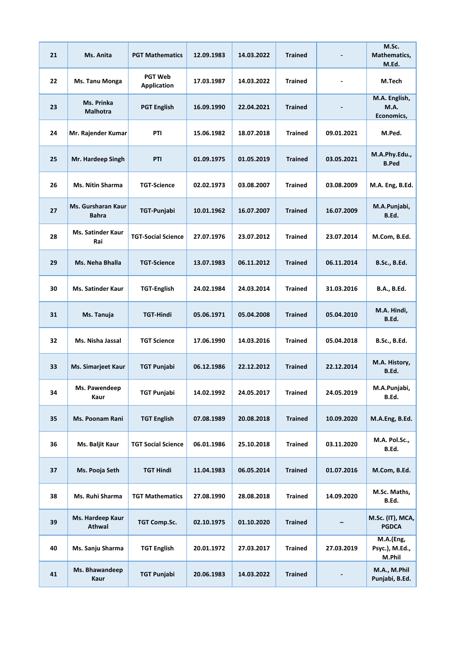| 21 | Ms. Anita                       | <b>PGT Mathematics</b>               | 12.09.1983 | 14.03.2022 | <b>Trained</b> |            | M.Sc.<br>Mathematics,<br>M.Ed.        |
|----|---------------------------------|--------------------------------------|------------|------------|----------------|------------|---------------------------------------|
| 22 | Ms. Tanu Monga                  | <b>PGT Web</b><br><b>Application</b> | 17.03.1987 | 14.03.2022 | <b>Trained</b> |            | M.Tech                                |
| 23 | Ms. Prinka<br><b>Malhotra</b>   | <b>PGT English</b>                   | 16.09.1990 | 22.04.2021 | <b>Trained</b> |            | M.A. English,<br>M.A.<br>Economics,   |
| 24 | Mr. Rajender Kumar              | PTI                                  | 15.06.1982 | 18.07.2018 | Trained        | 09.01.2021 | M.Ped.                                |
| 25 | Mr. Hardeep Singh               | <b>PTI</b>                           | 01.09.1975 | 01.05.2019 | Trained        | 03.05.2021 | M.A.Phy.Edu.,<br><b>B.Ped</b>         |
| 26 | <b>Ms. Nitin Sharma</b>         | <b>TGT-Science</b>                   | 02.02.1973 | 03.08.2007 | <b>Trained</b> | 03.08.2009 | M.A. Eng, B.Ed.                       |
| 27 | Ms. Gursharan Kaur<br>Bahra     | TGT-Punjabi                          | 10.01.1962 | 16.07.2007 | <b>Trained</b> | 16.07.2009 | M.A.Punjabi,<br>B.Ed.                 |
| 28 | <b>Ms. Satinder Kaur</b><br>Rai | <b>TGT-Social Science</b>            | 27.07.1976 | 23.07.2012 | <b>Trained</b> | 23.07.2014 | M.Com, B.Ed.                          |
| 29 | Ms. Neha Bhalla                 | <b>TGT-Science</b>                   | 13.07.1983 | 06.11.2012 | <b>Trained</b> | 06.11.2014 | <b>B.Sc., B.Ed.</b>                   |
| 30 | <b>Ms. Satinder Kaur</b>        | <b>TGT-English</b>                   | 24.02.1984 | 24.03.2014 | <b>Trained</b> | 31.03.2016 | B.A., B.Ed.                           |
| 31 | Ms. Tanuja                      | TGT-Hindi                            | 05.06.1971 | 05.04.2008 | <b>Trained</b> | 05.04.2010 | M.A. Hindi,<br>B.Ed.                  |
| 32 | Ms. Nisha Jassal                | <b>TGT Science</b>                   | 17.06.1990 | 14.03.2016 | <b>Trained</b> | 05.04.2018 | <b>B.Sc., B.Ed.</b>                   |
| 33 | Ms. Simarjeet Kaur              | <b>TGT Punjabi</b>                   | 06.12.1986 | 22.12.2012 | <b>Trained</b> | 22.12.2014 | M.A. History,<br>B.Ed.                |
| 34 | Ms. Pawendeep<br>Kaur           | <b>TGT Punjabi</b>                   | 14.02.1992 | 24.05.2017 | <b>Trained</b> | 24.05.2019 | M.A.Punjabi,<br>B.Ed.                 |
| 35 | Ms. Poonam Rani                 | <b>TGT English</b>                   | 07.08.1989 | 20.08.2018 | <b>Trained</b> | 10.09.2020 | M.A.Eng, B.Ed.                        |
| 36 | Ms. Baljit Kaur                 | <b>TGT Social Science</b>            | 06.01.1986 | 25.10.2018 | <b>Trained</b> | 03.11.2020 | M.A. Pol.Sc.,<br>B.Ed.                |
| 37 | Ms. Pooja Seth                  | <b>TGT Hindi</b>                     | 11.04.1983 | 06.05.2014 | <b>Trained</b> | 01.07.2016 | M.Com, B.Ed.                          |
| 38 | Ms. Ruhi Sharma                 | <b>TGT Mathematics</b>               | 27.08.1990 | 28.08.2018 | <b>Trained</b> | 14.09.2020 | M.Sc. Maths,<br>B.Ed.                 |
| 39 | Ms. Hardeep Kaur<br>Athwal      | <b>TGT Comp.Sc.</b>                  | 02.10.1975 | 01.10.2020 | <b>Trained</b> |            | M.Sc. (IT), MCA,<br><b>PGDCA</b>      |
| 40 | Ms. Sanju Sharma                | <b>TGT English</b>                   | 20.01.1972 | 27.03.2017 | <b>Trained</b> | 27.03.2019 | M.A.(Eng,<br>Psyc.), M.Ed.,<br>M.Phil |
| 41 | Ms. Bhawandeep<br>Kaur          | <b>TGT Punjabi</b>                   | 20.06.1983 | 14.03.2022 | <b>Trained</b> |            | M.A., M.Phil<br>Punjabi, B.Ed.        |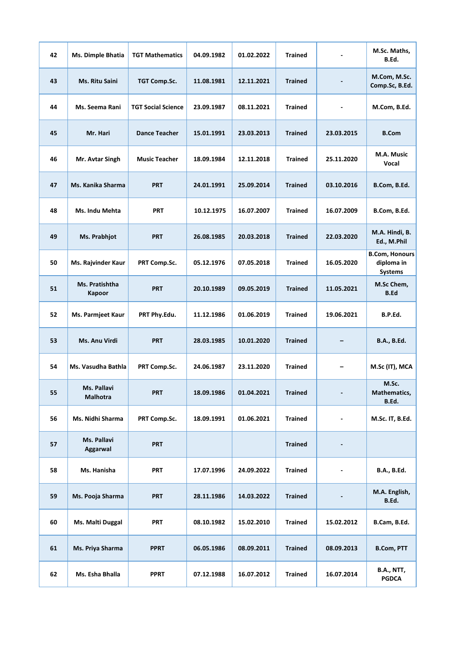| 42 | Ms. Dimple Bhatia               | <b>TGT Mathematics</b>    | 04.09.1982 | 01.02.2022 | <b>Trained</b> |            | M.Sc. Maths,<br>B.Ed.                                 |
|----|---------------------------------|---------------------------|------------|------------|----------------|------------|-------------------------------------------------------|
| 43 | Ms. Ritu Saini                  | TGT Comp.Sc.              | 11.08.1981 | 12.11.2021 | <b>Trained</b> |            | M.Com, M.Sc.<br>Comp.Sc, B.Ed.                        |
| 44 | Ms. Seema Rani                  | <b>TGT Social Science</b> | 23.09.1987 | 08.11.2021 | <b>Trained</b> |            | M.Com, B.Ed.                                          |
| 45 | Mr. Hari                        | <b>Dance Teacher</b>      | 15.01.1991 | 23.03.2013 | <b>Trained</b> | 23.03.2015 | <b>B.Com</b>                                          |
| 46 | Mr. Avtar Singh                 | <b>Music Teacher</b>      | 18.09.1984 | 12.11.2018 | <b>Trained</b> | 25.11.2020 | M.A. Music<br>Vocal                                   |
| 47 | Ms. Kanika Sharma               | <b>PRT</b>                | 24.01.1991 | 25.09.2014 | <b>Trained</b> | 03.10.2016 | B.Com, B.Ed.                                          |
| 48 | Ms. Indu Mehta                  | <b>PRT</b>                | 10.12.1975 | 16.07.2007 | <b>Trained</b> | 16.07.2009 | B.Com, B.Ed.                                          |
| 49 | Ms. Prabhjot                    | <b>PRT</b>                | 26.08.1985 | 20.03.2018 | <b>Trained</b> | 22.03.2020 | M.A. Hindi, B.<br>Ed., M.Phil                         |
| 50 | Ms. Rajvinder Kaur              | PRT Comp.Sc.              | 05.12.1976 | 07.05.2018 | <b>Trained</b> | 16.05.2020 | <b>B.Com, Honours</b><br>diploma in<br><b>Systems</b> |
| 51 | Ms. Pratishtha<br><b>Kapoor</b> | <b>PRT</b>                | 20.10.1989 | 09.05.2019 | <b>Trained</b> | 11.05.2021 | M.Sc Chem,<br><b>B.Ed</b>                             |
| 52 | Ms. Parmjeet Kaur               | PRT Phy.Edu.              | 11.12.1986 | 01.06.2019 | <b>Trained</b> | 19.06.2021 | B.P.Ed.                                               |
| 53 | Ms. Anu Virdi                   | <b>PRT</b>                | 28.03.1985 | 10.01.2020 | <b>Trained</b> |            | B.A., B.Ed.                                           |
| 54 | Ms. Vasudha Bathla              | PRT Comp.Sc.              | 24.06.1987 | 23.11.2020 | <b>Trained</b> |            | M.Sc (IT), MCA                                        |
| 55 | Ms. Pallavi<br><b>Malhotra</b>  | <b>PRT</b>                | 18.09.1986 | 01.04.2021 | <b>Trained</b> |            | M.Sc.<br>Mathematics,<br>B.Ed.                        |
| 56 | Ms. Nidhi Sharma                | PRT Comp.Sc.              | 18.09.1991 | 01.06.2021 | <b>Trained</b> |            | M.Sc. IT, B.Ed.                                       |
| 57 | Ms. Pallavi<br>Aggarwal         | <b>PRT</b>                |            |            | <b>Trained</b> |            |                                                       |
| 58 | Ms. Hanisha                     | <b>PRT</b>                | 17.07.1996 | 24.09.2022 | <b>Trained</b> |            | B.A., B.Ed.                                           |
| 59 | Ms. Pooja Sharma                | <b>PRT</b>                | 28.11.1986 | 14.03.2022 | <b>Trained</b> |            | M.A. English,<br>B.Ed.                                |
| 60 | Ms. Malti Duggal                | <b>PRT</b>                | 08.10.1982 | 15.02.2010 | <b>Trained</b> | 15.02.2012 | B.Cam, B.Ed.                                          |
| 61 | Ms. Priya Sharma                | <b>PPRT</b>               | 06.05.1986 | 08.09.2011 | <b>Trained</b> | 08.09.2013 | <b>B.Com, PTT</b>                                     |
| 62 | Ms. Esha Bhalla                 | <b>PPRT</b>               | 07.12.1988 | 16.07.2012 | <b>Trained</b> | 16.07.2014 | B.A., NTT,<br>PGDCA                                   |